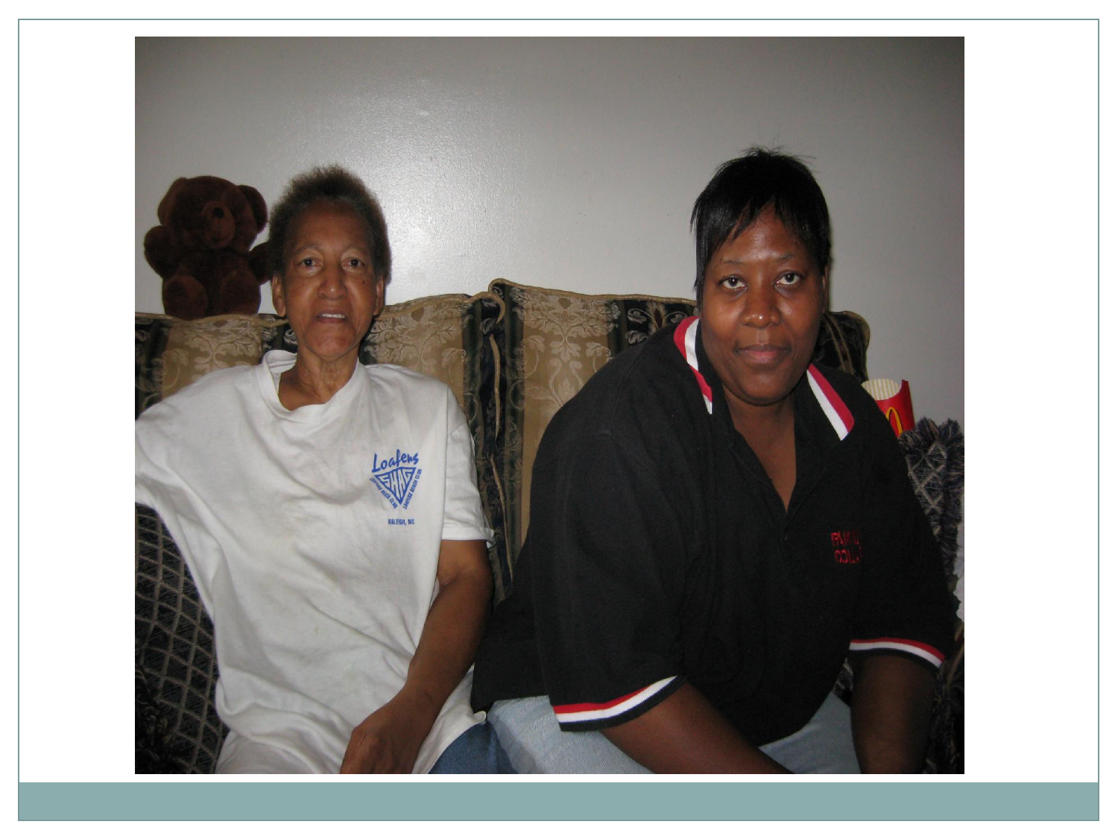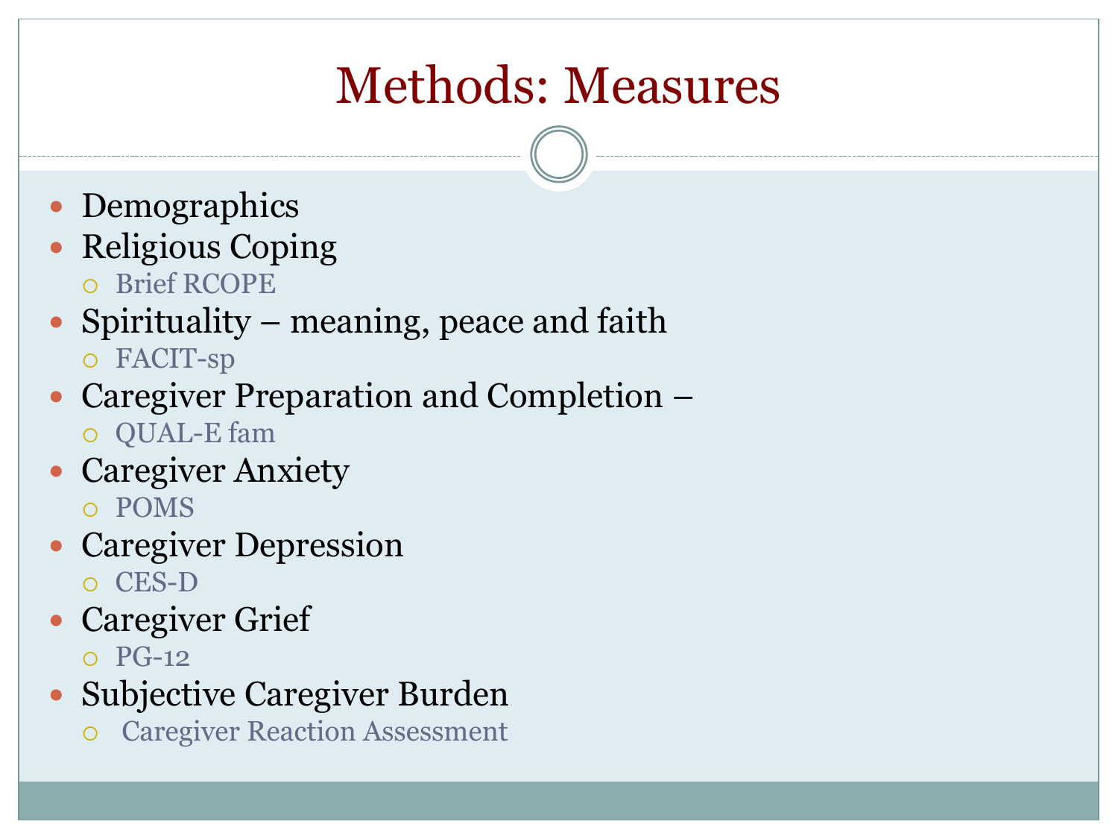# Methods: Measures

- Demographics
- Religious Coping
	- Brief RCOPE
- Spirituality meaning, peace and faith FACIT-sp
- Caregiver Preparation and Completion QUAL-E fam
- Caregiver Anxiety POMS
- Caregiver Depression o CES-D
- Caregiver Grief
	- $O$  PG-12
- Subjective Caregiver Burden
	- Caregiver Reaction Assessment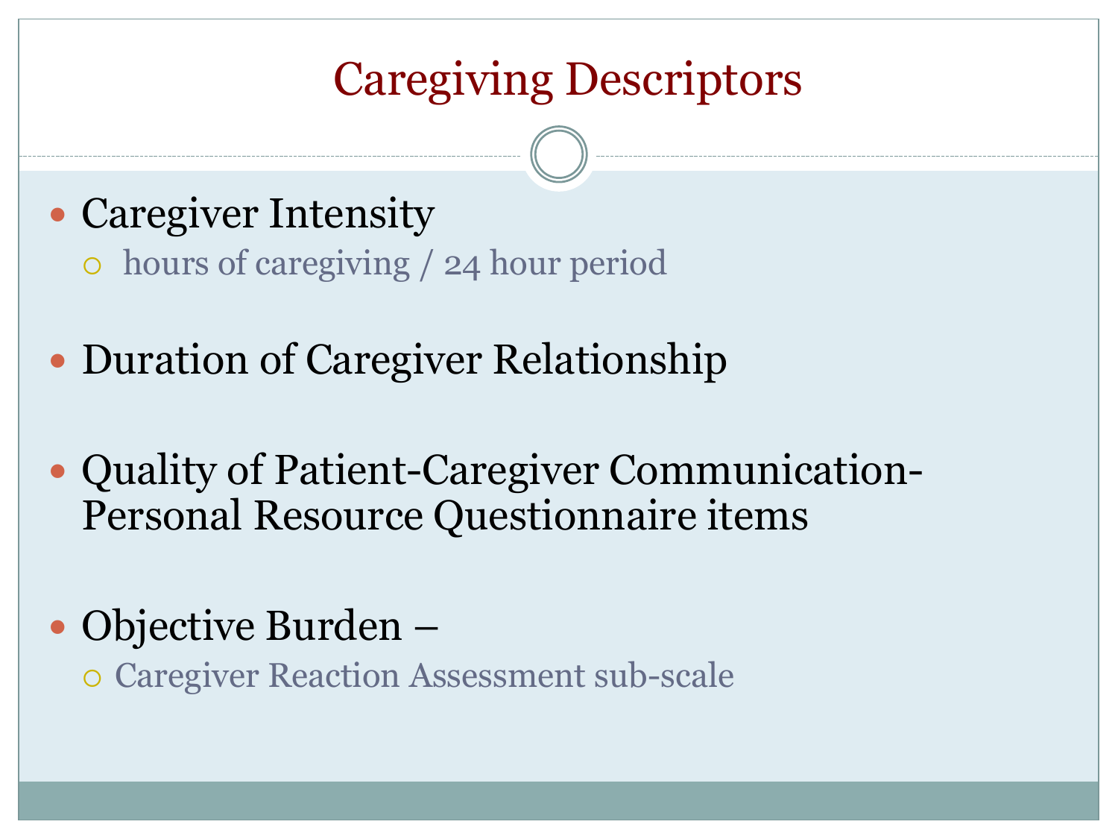## Caregiving Descriptors

• Caregiver Intensity

hours of caregiving / 24 hour period

- Duration of Caregiver Relationship
- Quality of Patient-Caregiver Communication-Personal Resource Questionnaire items
- Objective Burden –

Caregiver Reaction Assessment sub-scale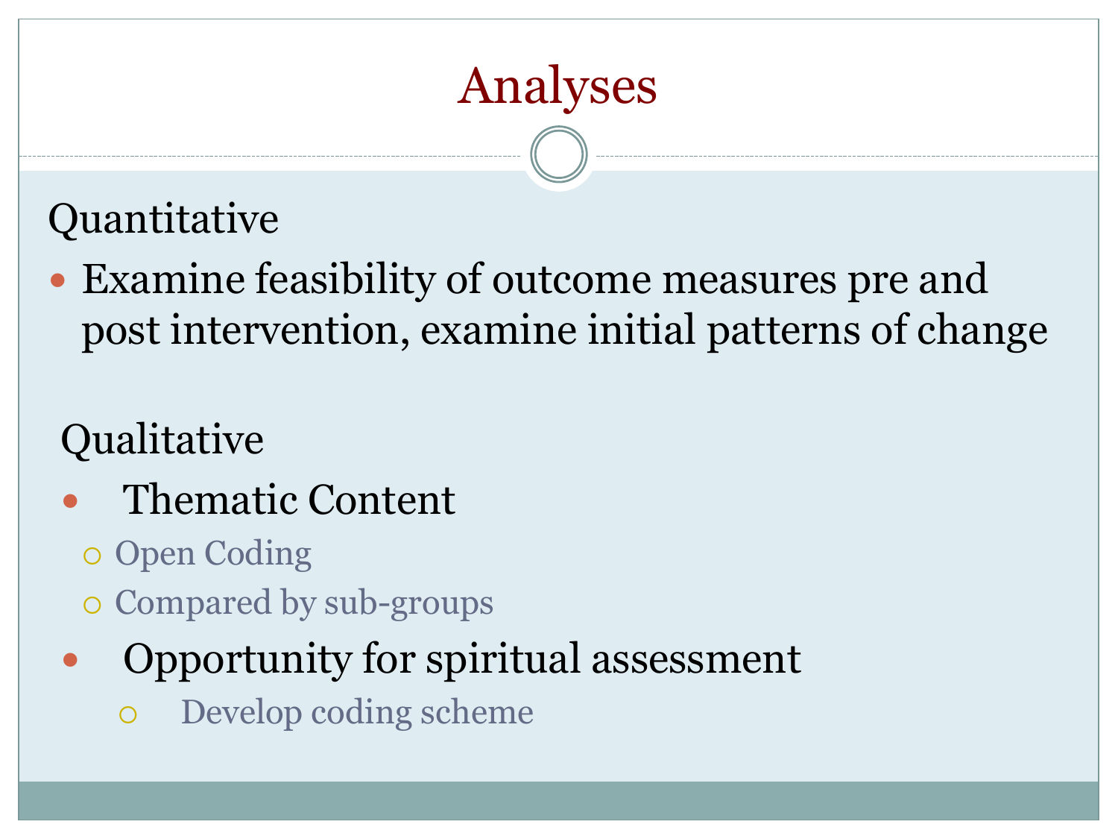

#### **Quantitative**

 Examine feasibility of outcome measures pre and post intervention, examine initial patterns of change

#### **Qualitative**

- Thematic Content
	- o Open Coding
	- Compared by sub-groups
- Opportunity for spiritual assessment
	- Develop coding scheme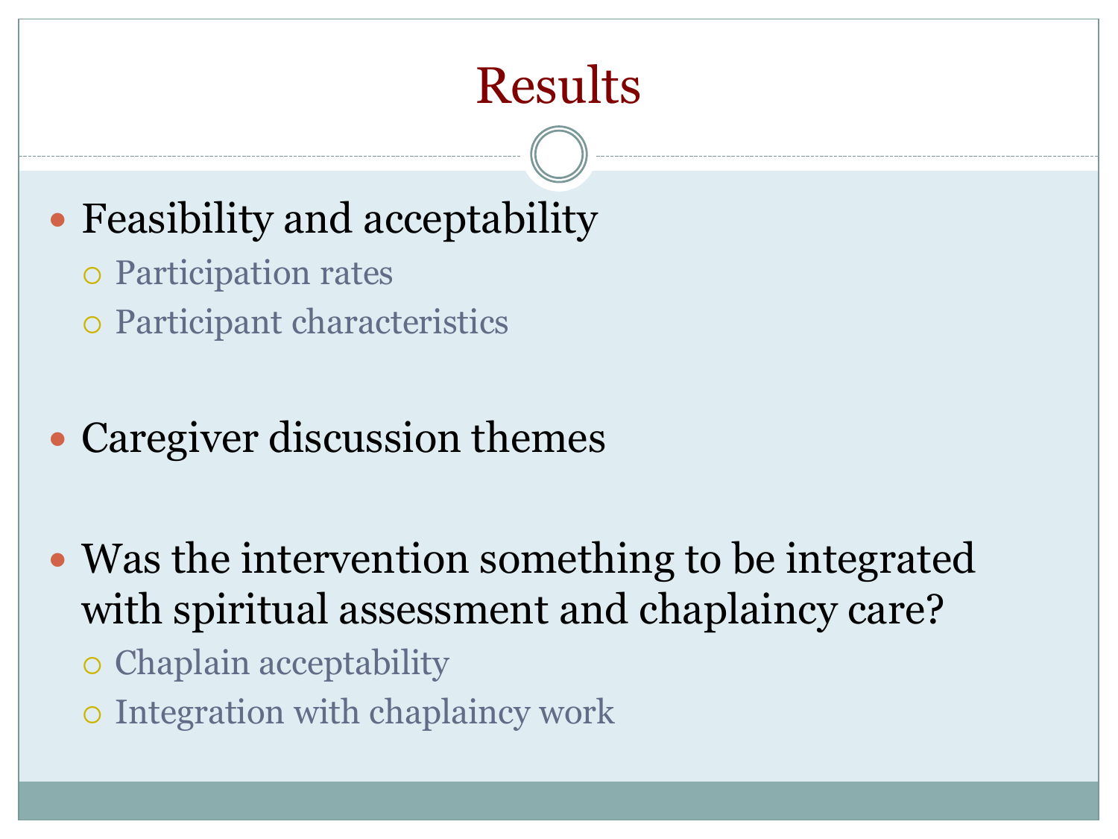# **Results**

#### • Feasibility and acceptability

- Participation rates
- Participant characteristics

#### • Caregiver discussion themes

 Was the intervention something to be integrated with spiritual assessment and chaplaincy care? Chaplain acceptability Integration with chaplaincy work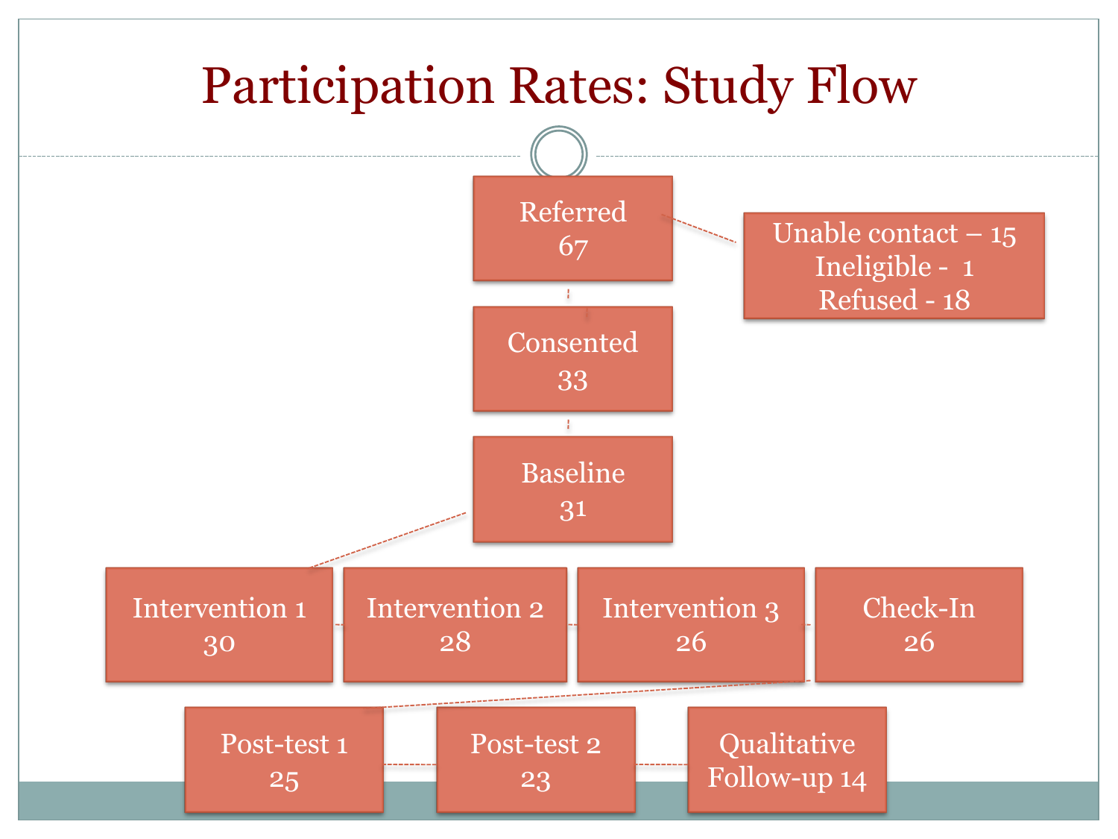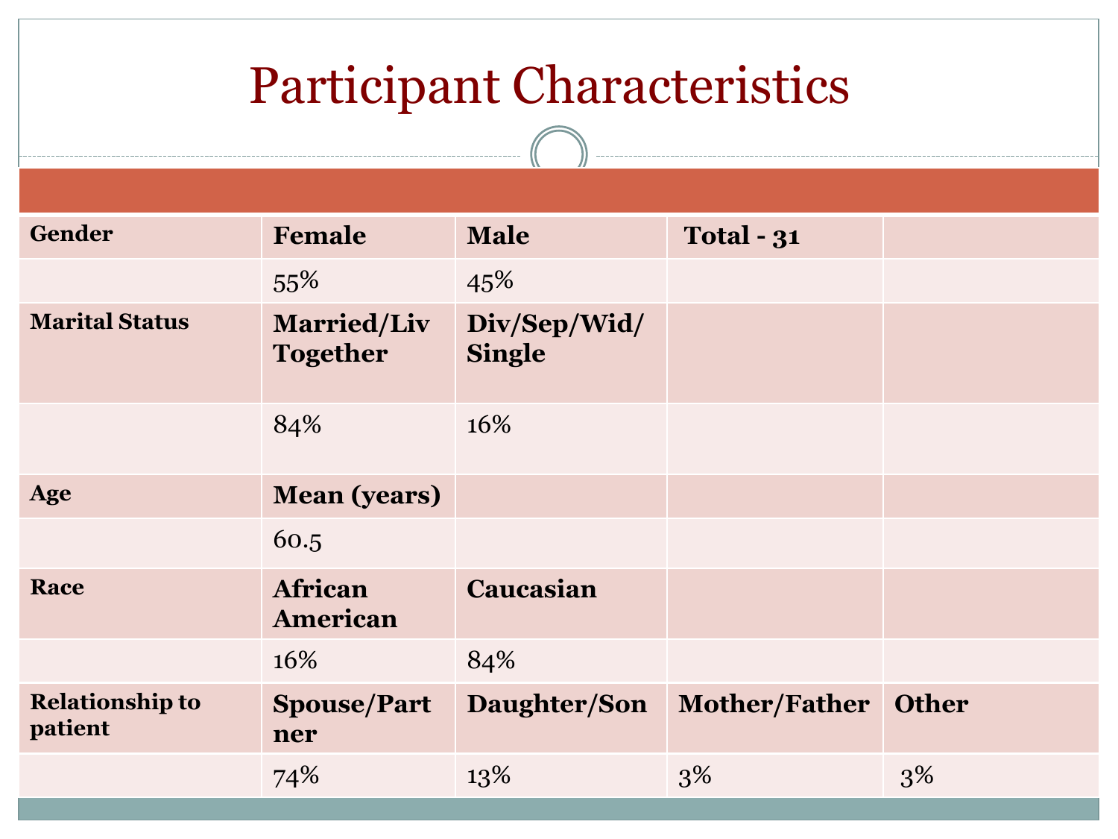#### Participant Characteristics **Gender Female Male Total - 31** 55% 45% **Marital Status Married/Liv Together Div/Sep/Wid/ Single** 84% 16% **Age Mean (years)** 60.5 **Race African American Caucasian**  16% 84% **Relationship to patient Spouse/Part ner Daughter/Son Mother/Father Other**  $74\%$  13% 3% 3% 3%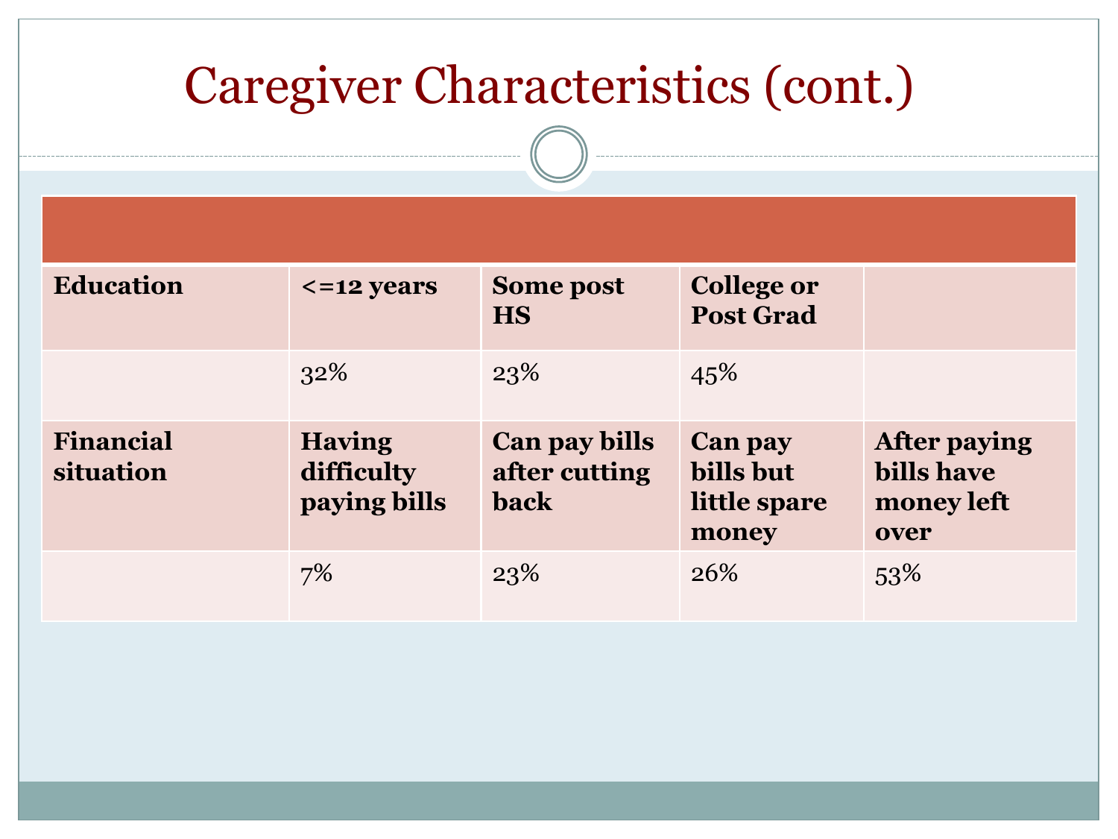# Caregiver Characteristics (cont.)

| <b>Education</b>              | $\epsilon$ =12 years                        | <b>Some post</b><br><b>HS</b>                 | <b>College or</b><br><b>Post Grad</b>         |                                                         |
|-------------------------------|---------------------------------------------|-----------------------------------------------|-----------------------------------------------|---------------------------------------------------------|
|                               | 32%                                         | 23%                                           | 45%                                           |                                                         |
| <b>Financial</b><br>situation | <b>Having</b><br>difficulty<br>paying bills | Can pay bills<br>after cutting<br><b>back</b> | Can pay<br>bills but<br>little spare<br>money | <b>After paying</b><br>bills have<br>money left<br>over |
|                               | $7\%$                                       | 23%                                           | 26%                                           | 53%                                                     |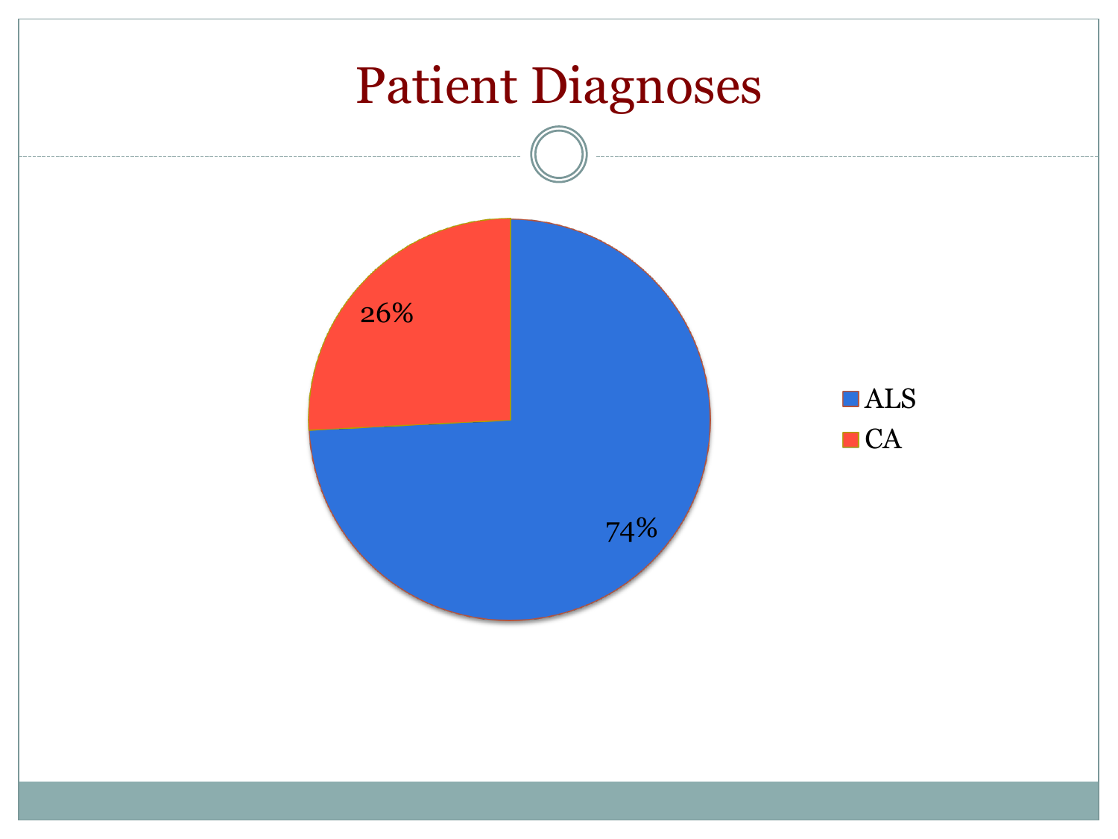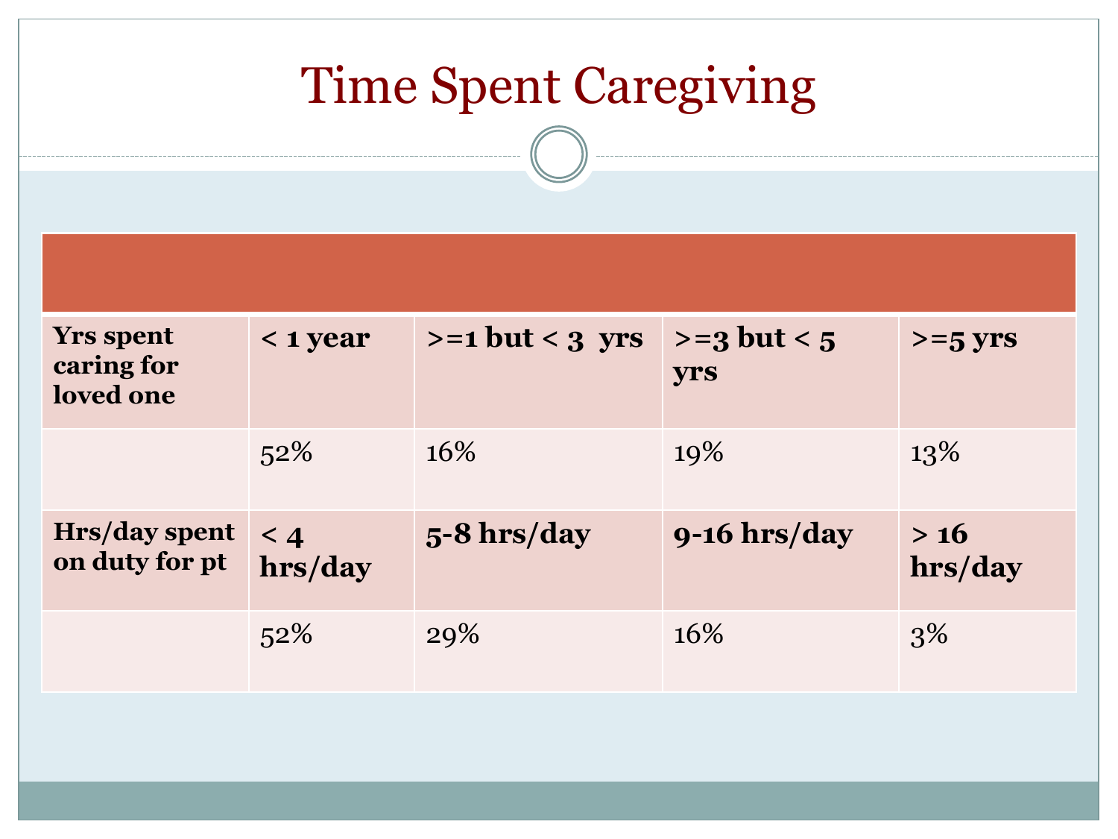# Time Spent Caregiving

| <b>Yrs spent</b><br>caring for<br>loved one | $<$ 1 year | $>=1$ but $< 3$ yrs | $>=3$ but $< 5$<br><b>yrs</b> | $>=5 \text{ yrs}$ |
|---------------------------------------------|------------|---------------------|-------------------------------|-------------------|
|                                             | $52\%$     | 16%                 | 19%                           | 13%               |
| Hrs/day spent                               | $\leq 4$   | $5-8$ hrs/day       | $9-16$ hrs/day                | > 16              |
| on duty for pt                              | hrs/day    |                     |                               | hrs/day           |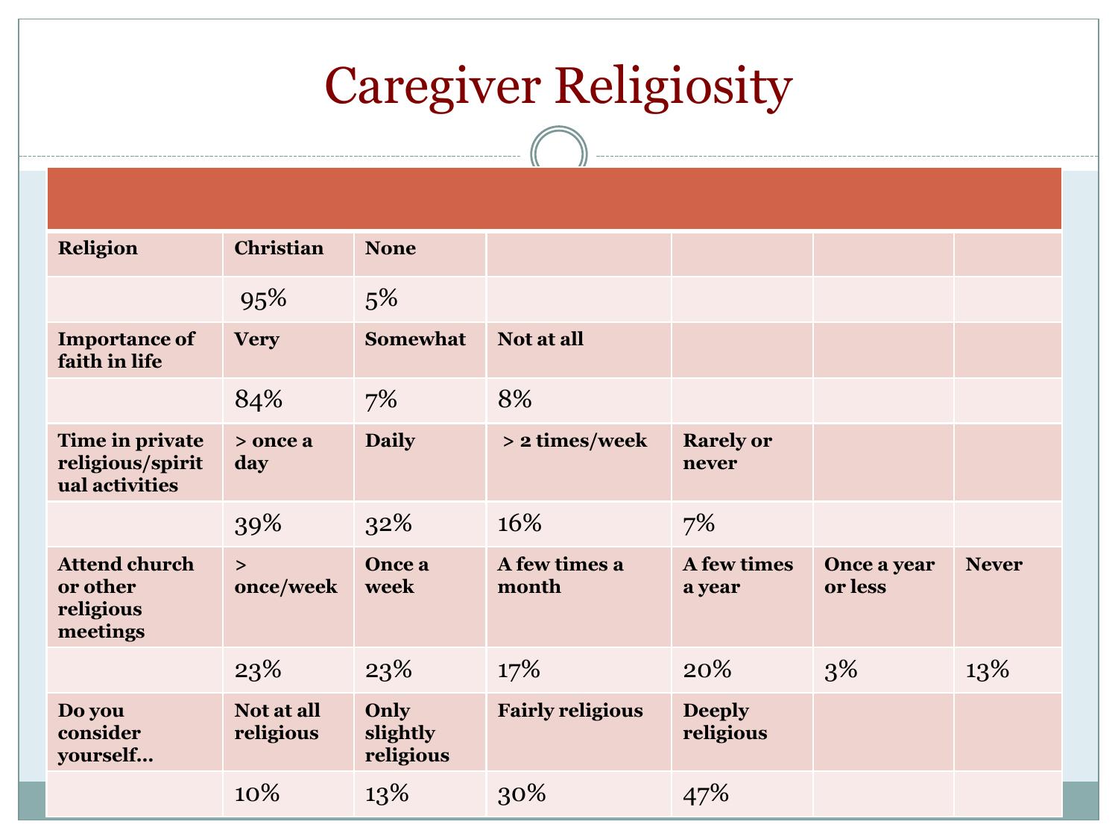# Caregiver Religiosity

| <b>Religion</b>                                           | <b>Christian</b>        | <b>None</b>                   |                         |                            |                        |              |
|-----------------------------------------------------------|-------------------------|-------------------------------|-------------------------|----------------------------|------------------------|--------------|
|                                                           | 95%                     | 5%                            |                         |                            |                        |              |
| <b>Importance of</b><br>faith in life                     | <b>Very</b>             | <b>Somewhat</b>               | Not at all              |                            |                        |              |
|                                                           | 84%                     | 7%                            | 8%                      |                            |                        |              |
| Time in private<br>religious/spirit<br>ual activities     | > once a<br>day         | <b>Daily</b>                  | > 2 times/week          | <b>Rarely or</b><br>never  |                        |              |
|                                                           | 39%                     | 32%                           | 16%                     | 7%                         |                        |              |
| <b>Attend church</b><br>or other<br>religious<br>meetings | $\geq$<br>once/week     | Once a<br>week                | A few times a<br>month  | A few times<br>a year      | Once a year<br>or less | <b>Never</b> |
|                                                           | 23%                     | 23%                           | 17%                     | 20%                        | 3%                     | 13%          |
| Do you<br>consider<br>yourself                            | Not at all<br>religious | Only<br>slightly<br>religious | <b>Fairly religious</b> | <b>Deeply</b><br>religious |                        |              |
|                                                           | 10%                     | 13%                           | 30%                     | 47%                        |                        |              |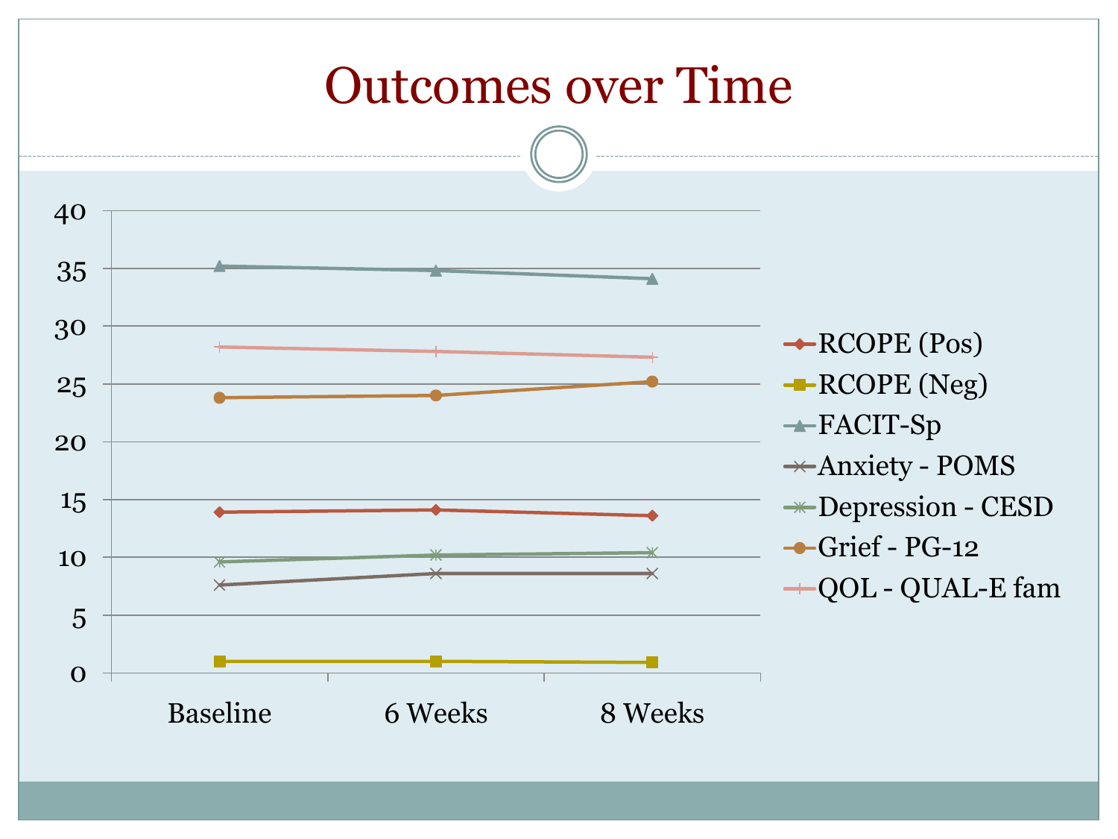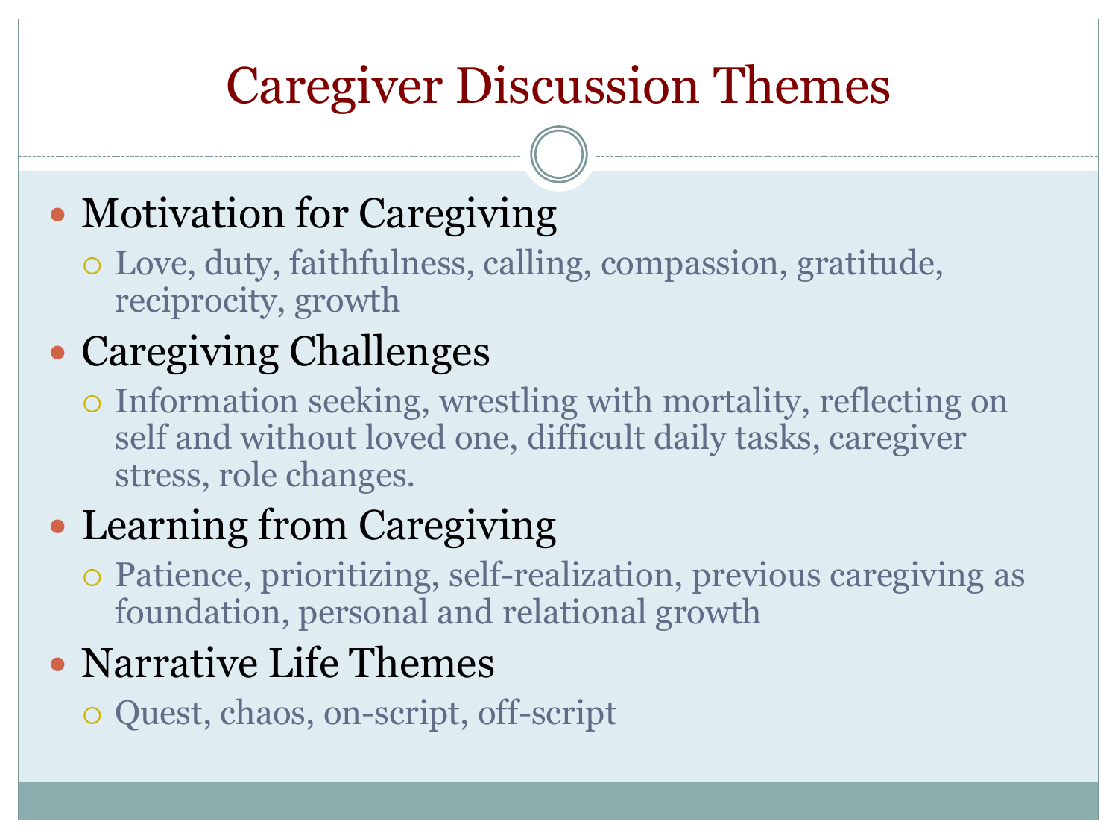# Caregiver Discussion Themes

#### • Motivation for Caregiving

 Love, duty, faithfulness, calling, compassion, gratitude, reciprocity, growth

#### • Caregiving Challenges

 Information seeking, wrestling with mortality, reflecting on self and without loved one, difficult daily tasks, caregiver stress, role changes.

#### • Learning from Caregiving

 Patience, prioritizing, self-realization, previous caregiving as foundation, personal and relational growth

#### Narrative Life Themes

Quest, chaos, on-script, off-script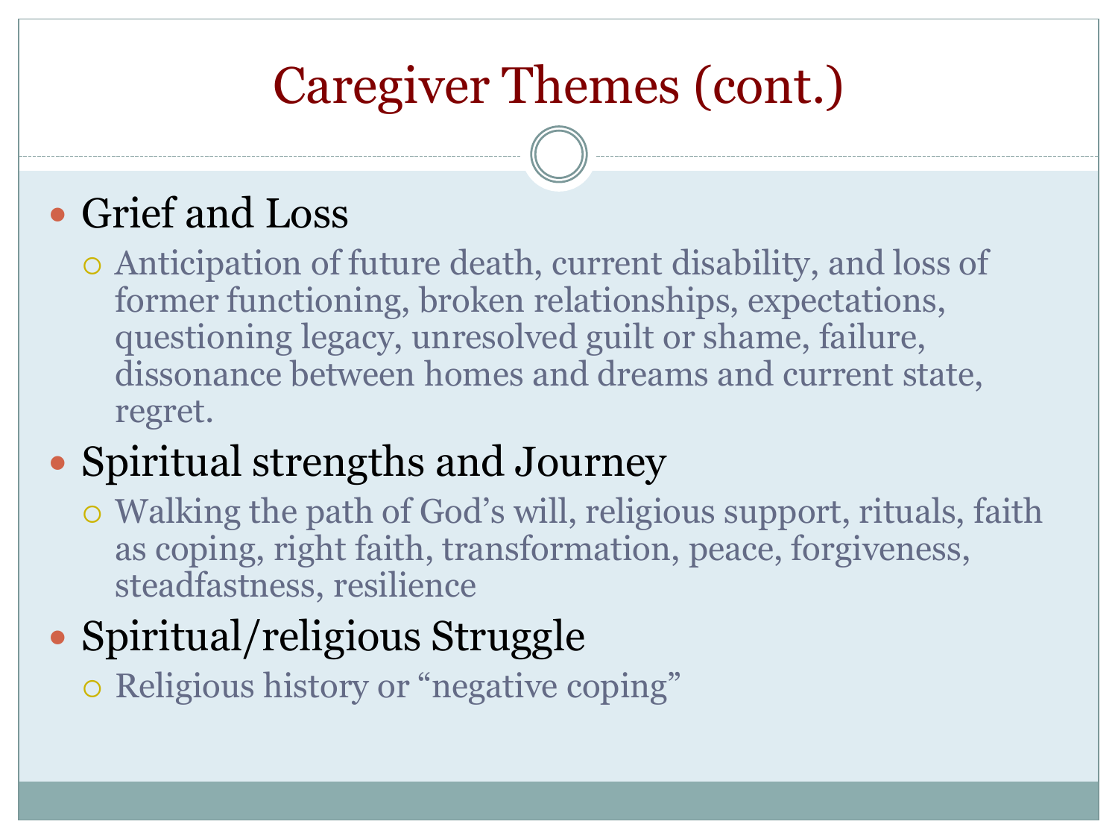# Caregiver Themes (cont.)

#### Grief and Loss

 Anticipation of future death, current disability, and loss of former functioning, broken relationships, expectations, questioning legacy, unresolved guilt or shame, failure, dissonance between homes and dreams and current state, regret.

### • Spiritual strengths and Journey

 Walking the path of God"s will, religious support, rituals, faith as coping, right faith, transformation, peace, forgiveness, steadfastness, resilience

# • Spiritual/religious Struggle

Religious history or "negative coping"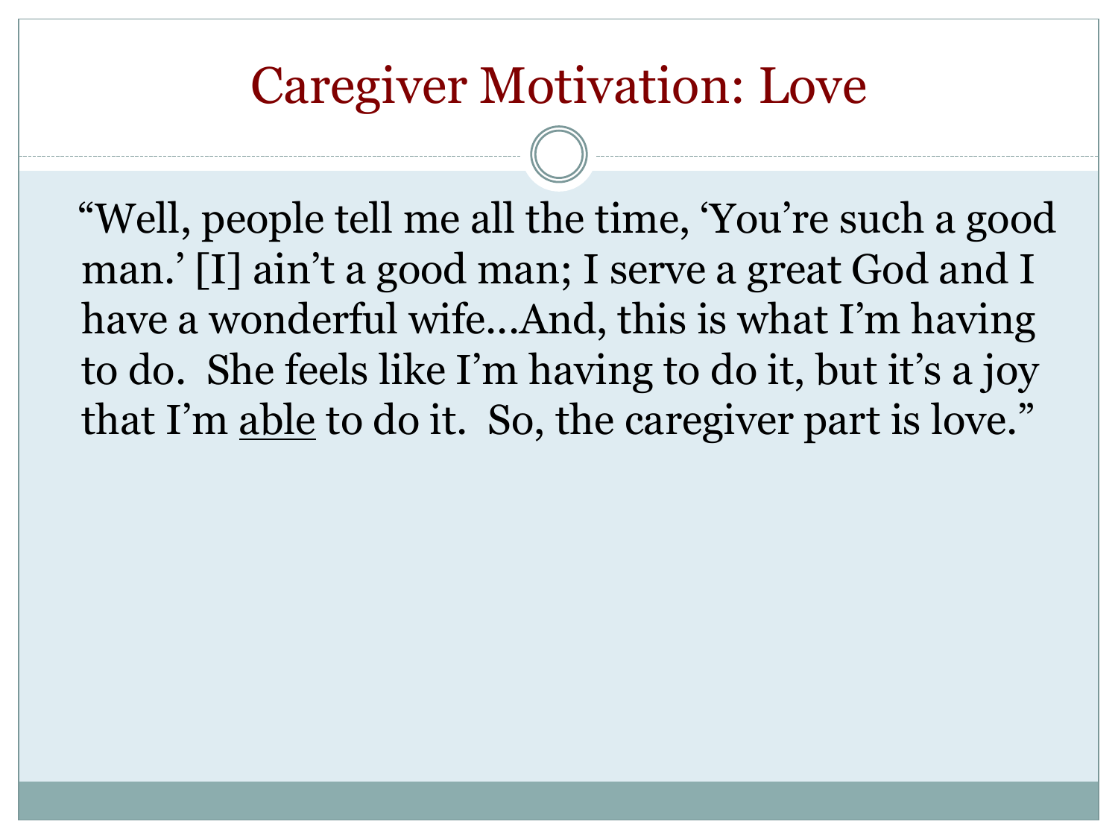### Caregiver Motivation: Love

"Well, people tell me all the time, "You"re such a good man." [I] ain"t a good man; I serve a great God and I have a wonderful wife...And, this is what I'm having to do. She feels like I'm having to do it, but it's a joy that I'm able to do it. So, the caregiver part is love."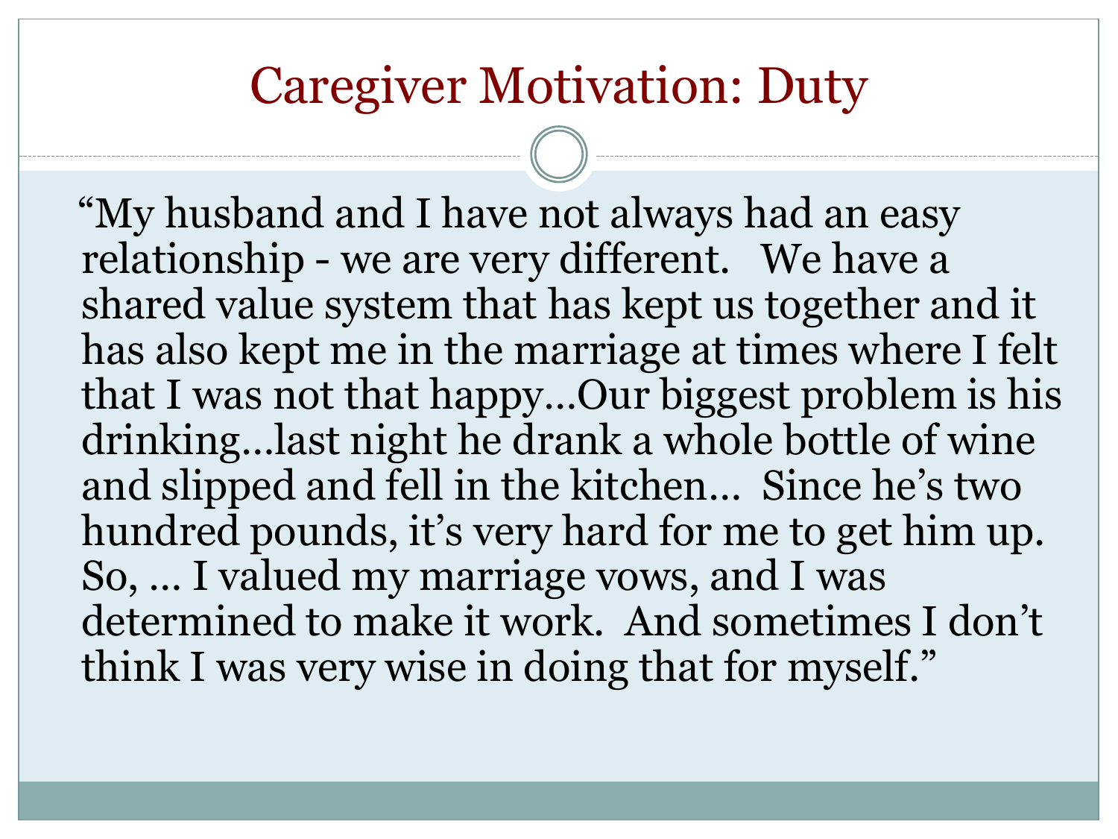## Caregiver Motivation: Duty

"My husband and I have not always had an easy relationship - we are very different. We have a shared value system that has kept us together and it has also kept me in the marriage at times where I felt that I was not that happy…Our biggest problem is his drinking…last night he drank a whole bottle of wine and slipped and fell in the kitchen... Since he's two hundred pounds, it's very hard for me to get him up. So, … I valued my marriage vows, and I was determined to make it work. And sometimes I don"t think I was very wise in doing that for myself."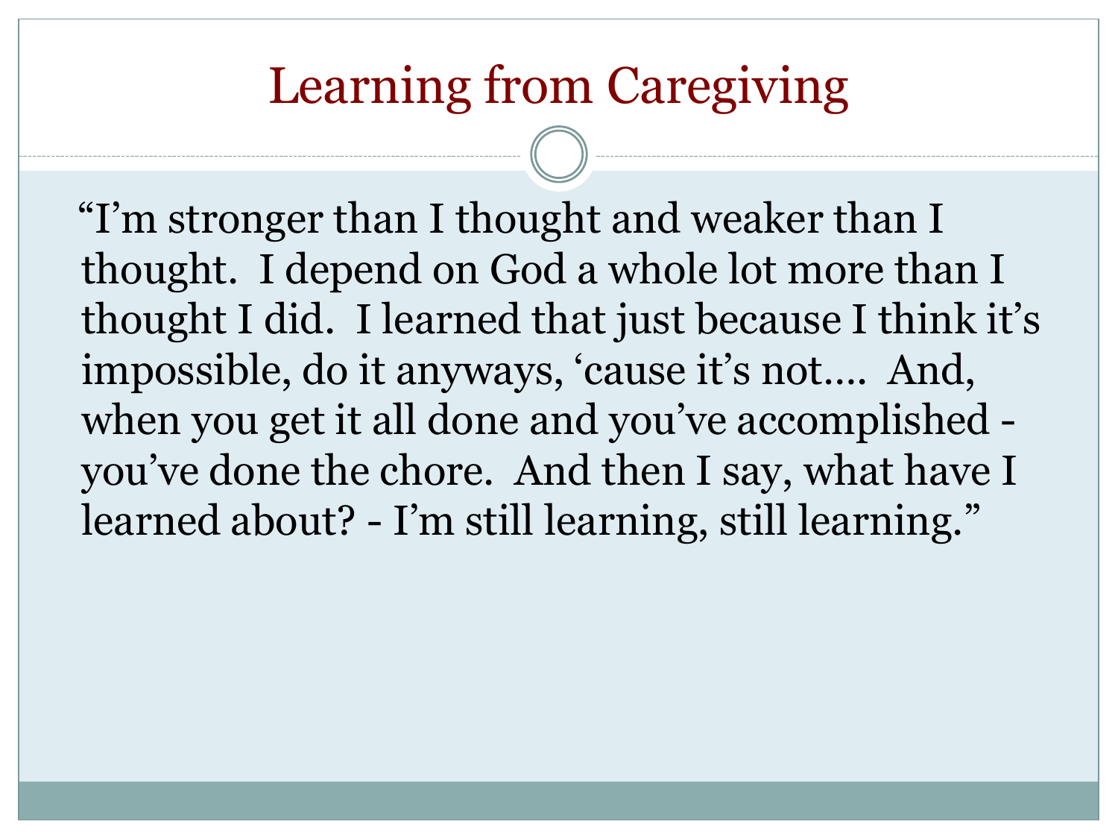## Learning from Caregiving

"I"m stronger than I thought and weaker than I thought. I depend on God a whole lot more than I thought I did. I learned that just because I think it's impossible, do it anyways, 'cause it's not.... And, when you get it all done and you've accomplished you"ve done the chore. And then I say, what have I learned about? - I'm still learning, still learning."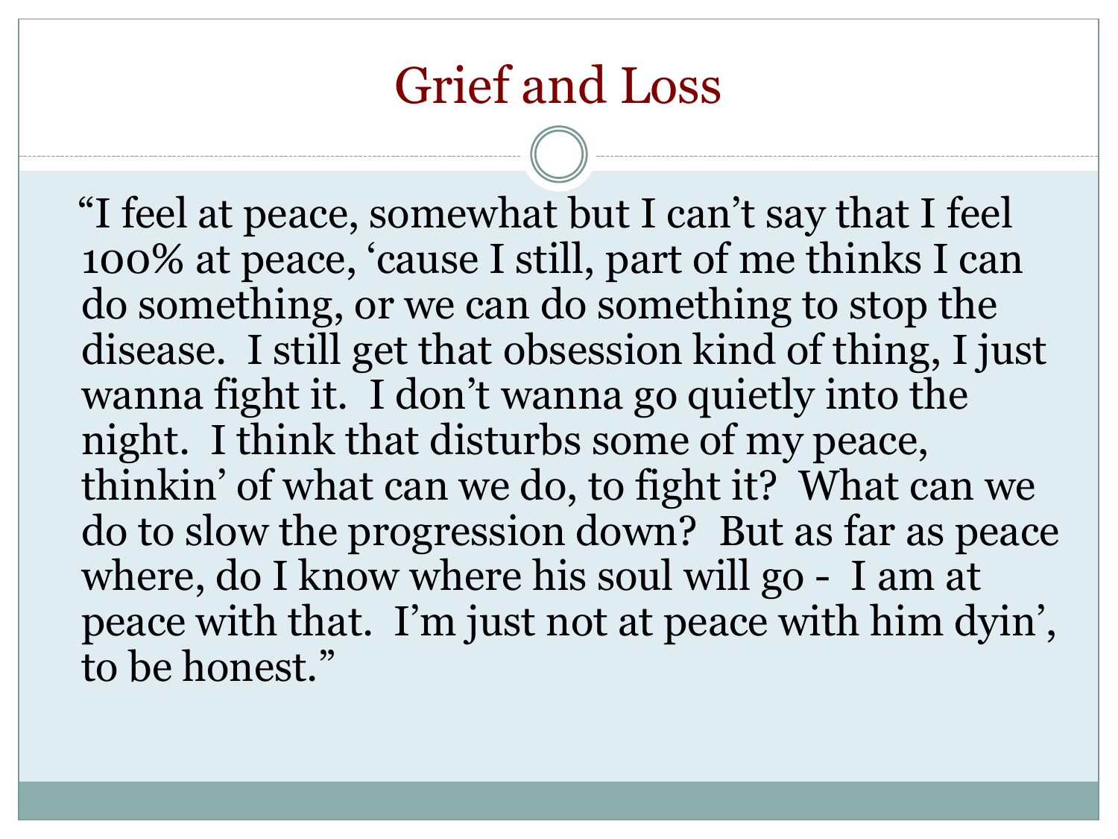### Grief and Loss

"I feel at peace, somewhat but I can"t say that I feel 100% at peace, "cause I still, part of me thinks I can do something, or we can do something to stop the disease. I still get that obsession kind of thing, I just wanna fight it. I don"t wanna go quietly into the night. I think that disturbs some of my peace, thinkin" of what can we do, to fight it? What can we do to slow the progression down? But as far as peace where, do I know where his soul will go - I am at peace with that. I'm just not at peace with him dyin', to be honest."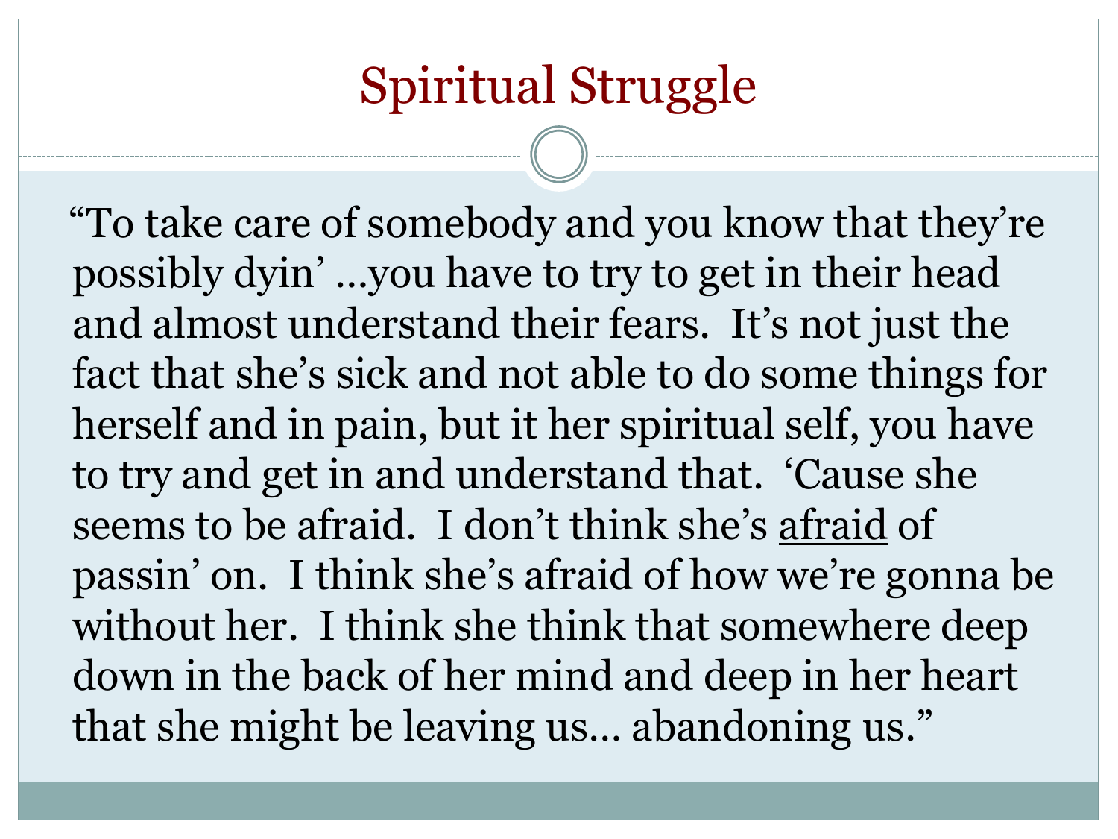# Spiritual Struggle

"To take care of somebody and you know that they"re possibly dyin" …you have to try to get in their head and almost understand their fears. It's not just the fact that she's sick and not able to do some things for herself and in pain, but it her spiritual self, you have to try and get in and understand that. "Cause she seems to be afraid. I don't think she's afraid of passin" on. I think she"s afraid of how we"re gonna be without her. I think she think that somewhere deep down in the back of her mind and deep in her heart that she might be leaving us… abandoning us."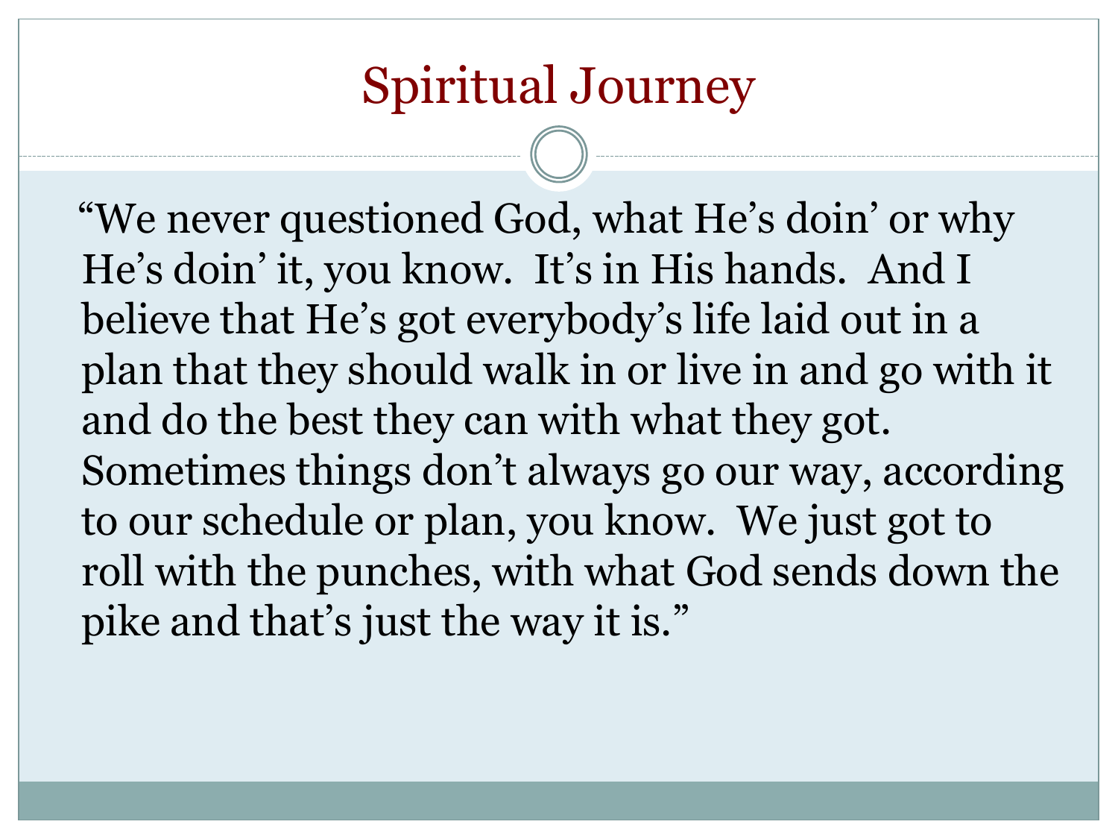# Spiritual Journey

"We never questioned God, what He's doin' or why He's doin' it, you know. It's in His hands. And I believe that He's got everybody's life laid out in a plan that they should walk in or live in and go with it and do the best they can with what they got. Sometimes things don"t always go our way, according to our schedule or plan, you know. We just got to roll with the punches, with what God sends down the pike and that's just the way it is."